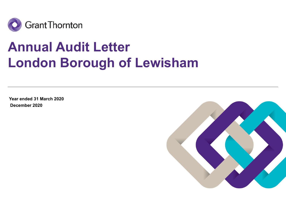

# Annual Audit Letter London Borough of Lewisham

Year ended 31 March 2020 December 2020

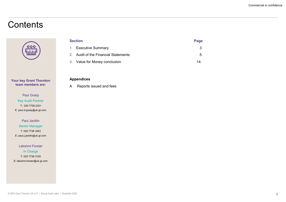### **Contents**



Your key Grant Thornton team members are:

Paul Grady Key Audit Partner T: 020 7728 2301 E: paul.d.grady@uk.gt.com

Paul Jacklin Senior Manager T: 020 7728 3263 E: paul.j.jacklin@uk.gt.com

Lakshmi Forster In Charge T: 020 7728 3193 E: lakshmi.forster@uk.gt.com

|                                         |      | Commercial in confidence |
|-----------------------------------------|------|--------------------------|
|                                         |      |                          |
|                                         |      |                          |
|                                         |      |                          |
|                                         |      |                          |
| <b>Section</b>                          | Page |                          |
| <b>Executive Summary</b><br>1.          |      | $\sqrt{3}$               |
| Audit of the Financial Statements<br>2. |      | $\sqrt{5}$               |
| 3. Value for Money conclusion           | 14.  |                          |
|                                         |      |                          |

#### Appendices

A Reports issued and fees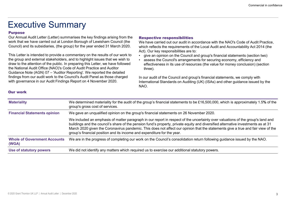## Executive Summary

#### Purpose

This Letter is intended to provide a commentary on the results of our work to  $\cdot$  qive an opinion on the Council and group's financial statements (section two) the group and external stakeholders, and to highlight issues that we wish to **a**ssess the Council's arrangements for securing economy, efficiency and draw to the attention of the public. In preparing this Letter, we have followed the National Audit Office (NAO)'s Code of Audit Practice and Auditor Executive Summarises the key findings arising from the **Respective role of Auditor**<br>
Four Annual Audit Letter (Letter) summarises the key findings arising from the **Respective role of School**<br>
Work that we have carried out findings from our audit work to the Council's Audit Panel as those charged with governance in our Audit Findings Report on 4 November 2020.

Commercial in conf<br> **Respective responsibilities**<br>
We have carried out our audit in accordance with the NAO's Code of Audit Practice,<br>
which reflects the requirements of the Local Audit and Accountability Act 2014 (the<br>
Ac We have carried out our audit in accordance with the NAO's Code of Audit Practice, which reflects the requirements of the Local Audit and Accountability Act 2014 (the Act). Our key responsibilities are to: **Example 12**<br> **Example 2018 Commercial in confidence**<br>
We have carried out our audit in accordance with the NAO's Code of Audit Practice,<br>
which reflects the requirements of the Local Audit and Accountability Act 2014 (the Commercial in confidence<br>
• Respective responsibilities<br>
• We have carried out our audit in accordance with the NAO's Code of Audit Practice,<br>
• which reflects the requirements of the Local Audit and Accountability Act 201

- 
- effectiveness in its use of resources (the value for money conclusion) (section three).

| EXECULIVE SUITIITIAI Y                                                                                                                                                                                                                                                                                                                                                                             |                                                                                                                                                                                                                                           |                                                                                                                                                                                                                                                                                                                                                                                                          |  |
|----------------------------------------------------------------------------------------------------------------------------------------------------------------------------------------------------------------------------------------------------------------------------------------------------------------------------------------------------------------------------------------------------|-------------------------------------------------------------------------------------------------------------------------------------------------------------------------------------------------------------------------------------------|----------------------------------------------------------------------------------------------------------------------------------------------------------------------------------------------------------------------------------------------------------------------------------------------------------------------------------------------------------------------------------------------------------|--|
| <b>Purpose</b>                                                                                                                                                                                                                                                                                                                                                                                     | Our Annual Audit Letter (Letter) summarises the key findings arising from the<br>work that we have carried out at London Borough of Lewisham Council (the<br>Council) and its subsidiaries, (the group) for the year ended 31 March 2020. | <b>Respective responsibilities</b><br>We have carried out our audit in accordance with the NAO's Code of Audit Practice,<br>which reflects the requirements of the Local Audit and Accountability Act 2014 (the<br>Act). Our key responsibilities are to:                                                                                                                                                |  |
| This Letter is intended to provide a commentary on the results of our work to<br>the group and external stakeholders, and to highlight issues that we wish to<br>draw to the attention of the public. In preparing this Letter, we have followed<br>the National Audit Office (NAO)'s Code of Audit Practice and Auditor<br>Guidance Note (AGN) 07 - 'Auditor Reporting'. We reported the detailed |                                                                                                                                                                                                                                           | give an opinion on the Council and group's financial statements (section two)<br>assess the Council's arrangements for securing economy, efficiency and<br>effectiveness in its use of resources (the value for money conclusion) (section<br>three).                                                                                                                                                    |  |
| with governance in our Audit Findings Report on 4 November 2020.                                                                                                                                                                                                                                                                                                                                   | findings from our audit work to the Council's Audit Panel as those charged                                                                                                                                                                | In our audit of the Council and group's financial statements, we comply with<br>International Standards on Auditing (UK) (ISAs) and other guidance issued by the<br>NAO.                                                                                                                                                                                                                                 |  |
| <b>Our work</b>                                                                                                                                                                                                                                                                                                                                                                                    |                                                                                                                                                                                                                                           |                                                                                                                                                                                                                                                                                                                                                                                                          |  |
| <b>Materiality</b>                                                                                                                                                                                                                                                                                                                                                                                 | We determined materiality for the audit of the group's financial statements to be £16,500,000, which is approximately 1.5% of the<br>group's gross cost of services.                                                                      |                                                                                                                                                                                                                                                                                                                                                                                                          |  |
| <b>Financial Statements opinion</b>                                                                                                                                                                                                                                                                                                                                                                |                                                                                                                                                                                                                                           | We gave an unqualified opinion on the group's financial statements on 26 November 2020.                                                                                                                                                                                                                                                                                                                  |  |
|                                                                                                                                                                                                                                                                                                                                                                                                    | group's financial position and its income and expenditure for the year.                                                                                                                                                                   | We included an emphasis of matter paragraph in our report in respect of the uncertainty over valuations of the group's land and<br>buildings and the council's share of the pension fund's property, private equity and diversified alternative investments as at 31<br>March 2020 given the Coronavirus pandemic. This does not affect our opinion that the statements give a true and fair view of the |  |
| <b>Whole of Government Accounts</b><br>(WGA)                                                                                                                                                                                                                                                                                                                                                       |                                                                                                                                                                                                                                           | We are in the progress of completing our work on the Council's consolidation return following guidance issued by the NAO.                                                                                                                                                                                                                                                                                |  |
|                                                                                                                                                                                                                                                                                                                                                                                                    |                                                                                                                                                                                                                                           | We did not identify any matters which required us to exercise our additional statutory powers.                                                                                                                                                                                                                                                                                                           |  |

#### Our work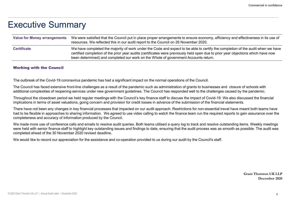### Executive Summary

|                                                           | Commercial in confidence                                                                                                                                                                                                                                                                                                                                                                                       |
|-----------------------------------------------------------|----------------------------------------------------------------------------------------------------------------------------------------------------------------------------------------------------------------------------------------------------------------------------------------------------------------------------------------------------------------------------------------------------------------|
|                                                           |                                                                                                                                                                                                                                                                                                                                                                                                                |
| Executive Summary                                         |                                                                                                                                                                                                                                                                                                                                                                                                                |
| <b>Value for Money arrangements</b>                       | We were satisfied that the Council put in place proper arrangements to ensure economy, efficiency and effectiveness in its use of<br>resources. We reflected this in our audit report to the Council on 26 November 2020.                                                                                                                                                                                      |
| <b>Certificate</b>                                        | We have completed the majority of work under the Code and expect to be able to certify the completion of the audit when we have<br>certified completion of the prior year audits (certificates were previously held open due to prior year objections which have now<br>been determined) and completed our work on the Whole of government Accounts return.                                                    |
| <b>Working with the Council</b>                           |                                                                                                                                                                                                                                                                                                                                                                                                                |
|                                                           | The outbreak of the Covid-19 coronavirus pandemic has had a significant impact on the normal operations of the Council.                                                                                                                                                                                                                                                                                        |
|                                                           | The Council has faced extensive front-line challenges as a result of the pandemic such as administration of grants to businesses and closure of schools with<br>additional complexities of reopening services under new government guidelines. The Council has responded well to the challenges caused by the pandemic.                                                                                        |
|                                                           | Throughout the closedown period we held regular meetings with the Council's key finance staff to discuss the impact of Covid-19. We also discussed the financial<br>implications in terms of asset valuations, going concern and provision for credit losses in advance of the submission of the financial statements.                                                                                         |
|                                                           | There have not been any changes in key financial processes that impacted on our audit approach. Restrictions for non-essential travel have meant both teams have<br>had to be flexible in approaches to sharing information. We agreed to use video calling to watch the finance team run the required reports to gain assurance over the<br>completeness and accuracy of information produced by the Council. |
|                                                           | We made more use of conference calls and emails to resolve audit queries. Both teams utilised a query log to track and resolve outstanding items. Weekly meetings<br>were held with senior finance staff to highlight key outstanding issues and findings to date, ensuring that the audit process was as smooth as possible. The audit was                                                                    |
| completed ahead of the 30 November 2020 revised deadline. |                                                                                                                                                                                                                                                                                                                                                                                                                |

There have not been any changes in key financial processes that impacted on our audit approach. Restrictions for non-essential travel have meant both teams have had to be flexible in approaches to sharing information. We agreed to use video calling to watch the finance team run the required reports to gain assurance over the completeness and accuracy of information produced by the Council. e financial<br>teams have<br>ance over the<br>kly meetings<br>he audit was<br>ornton UK LLP<br>December 2020

Grant Thornton UK LLP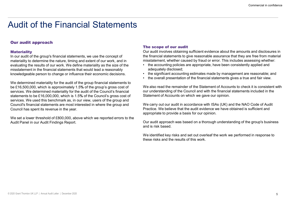### Our audit approach

#### **Materiality**

In our audit of the group's financial statements, we use the concept of materiality to determine the nature, timing and extent of our work, and in misstatement, whether caused by fraud or error. This includes assessing wheth<br>evaluating the results of our work. We define materiality as the size evaluating the results of our work. We define materiality as the size of the misstatement in the financial statements that would lead a reasonably **mode and adequately disclosed**;<br>Read that accounting estimates made by management are reasonable: and **example and intervent in the standiture of** knowledgeable person to change or influence their economic decisions.<br>• the overall presentation of the financial statements gives a true and fair view.

We determined materiality for the audit of the group financial statements to be £16,500,000, which is approximately 1.5% of the group's gross cost of services. We determined materiality for the audit of the Council's financial statements to be £16,000,000, which is 1.5% of the Council's gross cost of services. We used this benchmark as, in our view, users of the group and Council's financial statements are most interested in where the group and Council has spent its revenue in the year.

We set a lower threshold of £800,000, above which we reported errors to the Audit Panel in our Audit Findings Report.

#### The scope of our audit

Our audit involves obtaining sufficient evidence about the amounts and disclosures in the financial statements to give reasonable assurance that they are free from material misstatement, whether caused by fraud or error. This includes assessing whether: Commercial in confidence<br>
• **Commercial in confidence**<br>
• **Our audit involves obtaining sufficient evidence about the amounts and disclosures in<br>
the financial statements to give reasonable assurance that they are free fr** Commercial in confidence<br>
• Commercial in confidence<br>
• Our audit involves obtaining sufficient evidence about the amounts and disclosures in<br>
the financial statements to give reasonable assurance that they are free from m

- adequately disclosed;
- 
- 

Commercial in confidence<br>
• Commercial in confidence<br>
• Our audit involves obtaining sufficient evidence about the amounts and disclosures in<br>
the financial statements to give reasonable assurance that they are free from m We also read the remainder of the Statement of Accounts to check it is consistent with our understanding of the Council and with the financial statements included in the Statement of Accounts on which we gave our opinion.

We carry out our audit in accordance with ISAs (UK) and the NAO Code of Audit Practice. We believe that the audit evidence we have obtained is sufficient and appropriate to provide a basis for our opinion.

Our audit approach was based on a thorough understanding of the group's business and is risk based.

We identified key risks and set out overleaf the work we performed in response to these risks and the results of this work.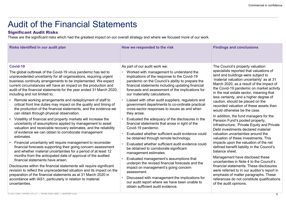### Significant Audit Risks

|                                                                                                                                                                                                                                                                                                                                                                                                                                                                                                                                                                                                                                                                                                                                                                                                                                                                                                                                                                                                                                                                                                                                                                                                                                                                                                                                                                                                                                                                                                            |                                                                                                                                                                                                                                                                                                                                                                                                                                                                                                                                                                                                                                                                                                                                                                                                                                                                                                                                                                                                                                                             | Commercial in confidence                                                                                                                                                                                                                                                                                                                                                                                                                                                                                                                                                                                                                                                                                                                                                                                                                                                                                                                                                                                                                                                           |
|------------------------------------------------------------------------------------------------------------------------------------------------------------------------------------------------------------------------------------------------------------------------------------------------------------------------------------------------------------------------------------------------------------------------------------------------------------------------------------------------------------------------------------------------------------------------------------------------------------------------------------------------------------------------------------------------------------------------------------------------------------------------------------------------------------------------------------------------------------------------------------------------------------------------------------------------------------------------------------------------------------------------------------------------------------------------------------------------------------------------------------------------------------------------------------------------------------------------------------------------------------------------------------------------------------------------------------------------------------------------------------------------------------------------------------------------------------------------------------------------------------|-------------------------------------------------------------------------------------------------------------------------------------------------------------------------------------------------------------------------------------------------------------------------------------------------------------------------------------------------------------------------------------------------------------------------------------------------------------------------------------------------------------------------------------------------------------------------------------------------------------------------------------------------------------------------------------------------------------------------------------------------------------------------------------------------------------------------------------------------------------------------------------------------------------------------------------------------------------------------------------------------------------------------------------------------------------|------------------------------------------------------------------------------------------------------------------------------------------------------------------------------------------------------------------------------------------------------------------------------------------------------------------------------------------------------------------------------------------------------------------------------------------------------------------------------------------------------------------------------------------------------------------------------------------------------------------------------------------------------------------------------------------------------------------------------------------------------------------------------------------------------------------------------------------------------------------------------------------------------------------------------------------------------------------------------------------------------------------------------------------------------------------------------------|
| <b>Audit of the Financial Statements</b><br><b>Significant Audit Risks</b><br>These are the significant risks which had the greatest impact on our overall strategy and where we focused more of our work.                                                                                                                                                                                                                                                                                                                                                                                                                                                                                                                                                                                                                                                                                                                                                                                                                                                                                                                                                                                                                                                                                                                                                                                                                                                                                                 |                                                                                                                                                                                                                                                                                                                                                                                                                                                                                                                                                                                                                                                                                                                                                                                                                                                                                                                                                                                                                                                             |                                                                                                                                                                                                                                                                                                                                                                                                                                                                                                                                                                                                                                                                                                                                                                                                                                                                                                                                                                                                                                                                                    |
| Risks identified in our audit plan                                                                                                                                                                                                                                                                                                                                                                                                                                                                                                                                                                                                                                                                                                                                                                                                                                                                                                                                                                                                                                                                                                                                                                                                                                                                                                                                                                                                                                                                         | How we responded to the risk                                                                                                                                                                                                                                                                                                                                                                                                                                                                                                                                                                                                                                                                                                                                                                                                                                                                                                                                                                                                                                | <b>Findings and conclusions</b>                                                                                                                                                                                                                                                                                                                                                                                                                                                                                                                                                                                                                                                                                                                                                                                                                                                                                                                                                                                                                                                    |
| Covid-19<br>The global outbreak of the Covid-19 virus pandemic has led to<br>unprecedented uncertainty for all organisations, requiring urgent<br>business continuity arrangements to be implemented. We expect<br>current circumstances will have an impact on the production and<br>audit of the financial statements for the year ended 31 March 2020,<br>including and not limited to;<br>Remote working arrangements and redeployment of staff to<br>critical front line duties may impact on the quality and timing of<br>the production of the financial statements, and the evidence we<br>can obtain through physical observation.<br>Volatility of financial and property markets will increase the<br>uncertainty of assumptions applied by management to asset<br>valuation and receivable recovery estimates, and the reliability<br>of evidence we can obtain to corroborate management<br>estimates.<br>Financial uncertainty will require management to reconsider<br>financial forecasts supporting their going concern assessment<br>and whether material uncertainties for a period of at least 12<br>months from the anticipated date of approval of the audited<br>financial statements have arisen.<br>Disclosures within the financial statements will require significant<br>revision to reflect the unprecedented situation and its impact on the<br>preparation of the financial statements as at 31 March 2020 in<br>accordance with IAS1, particularly in relation to material | As part of our audit work we:<br>Worked with management to understand the<br>implications of the response to the Covid-19<br>pandemic on the Council's ability to prepare the<br>financial statements including updating financial<br>forecasts and assessment of the implications for<br>our materiality calculations.<br>Liaised with other audit suppliers, regulators and<br>government departments to co-ordinate practical<br>cross-sector responses to issues as and when<br>they arose.<br>Evaluated the adequacy of the disclosures in the<br>financial statements that arose in light of the<br>Covid-19 pandemic.<br>Evaluated whether sufficient audit evidence could<br>be obtained through remote technology.<br>Evaluated whether sufficient audit evidence could<br>be obtained to corroborate significant<br>management estimates.<br>Evaluated management's assumptions that<br>underpin the revised financial forecasts and the<br>impact on management's going concern<br>assessment.<br>Discussed with management the implications for | The Council's property valuation<br>specialists reported that valuations of<br>land and buildings were subject to<br>'material valuation uncertainty' as at 31<br>March 2020, as a result of the impact of<br>the Covid-19 pandemic on market activity<br>in the real estate sector, meaning that<br>less certainty, and a higher degree of<br>caution, should be placed on the<br>recorded valuation of these assets than<br>would otherwise be the case.<br>In addition, the fund managers for the<br>Pension Fund's pooled property,<br>Infrastructure, Private Equity and Private<br>Debt investments declared material<br>valuation uncertainties around the<br>valuation of these investments. This<br>impacts upon the valuation of the net<br>defined benefit liability in the Council's<br>balance sheet.<br>Management have disclosed these<br>uncertainties in Note 4 to the Council's<br>financial statements. These disclosures<br>were referred to in our auditor's report in<br>emphasis of matter paragraphs. These<br>references do not constitute qualifications |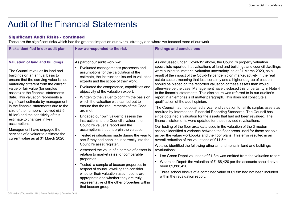| <b>Significant Audit Risks - continued</b>                                                                                                                                                                                                                                                                                                                                                                                                                                                                                                                                                                                                 | <b>Audit of the Financial Statements</b><br>These are the significant risks which had the greatest impact on our overall strategy and where we focused more of our work.                                                                                                                                                                                                                                                                                                                                                                                                                                                                                                                                                                                                                                                                                                                                                                                                                                                                                                                                          |                                                                                                                                                                                                                                                                                                                                                                                                                                                                                                                                                                                                                                                                                                                                                                                                                                                                                                                                                                                                                                                                                                                                                                                                                                                                                                                                                                                                                                                                                                                                                                                                                                                                                                                                                               |
|--------------------------------------------------------------------------------------------------------------------------------------------------------------------------------------------------------------------------------------------------------------------------------------------------------------------------------------------------------------------------------------------------------------------------------------------------------------------------------------------------------------------------------------------------------------------------------------------------------------------------------------------|-------------------------------------------------------------------------------------------------------------------------------------------------------------------------------------------------------------------------------------------------------------------------------------------------------------------------------------------------------------------------------------------------------------------------------------------------------------------------------------------------------------------------------------------------------------------------------------------------------------------------------------------------------------------------------------------------------------------------------------------------------------------------------------------------------------------------------------------------------------------------------------------------------------------------------------------------------------------------------------------------------------------------------------------------------------------------------------------------------------------|---------------------------------------------------------------------------------------------------------------------------------------------------------------------------------------------------------------------------------------------------------------------------------------------------------------------------------------------------------------------------------------------------------------------------------------------------------------------------------------------------------------------------------------------------------------------------------------------------------------------------------------------------------------------------------------------------------------------------------------------------------------------------------------------------------------------------------------------------------------------------------------------------------------------------------------------------------------------------------------------------------------------------------------------------------------------------------------------------------------------------------------------------------------------------------------------------------------------------------------------------------------------------------------------------------------------------------------------------------------------------------------------------------------------------------------------------------------------------------------------------------------------------------------------------------------------------------------------------------------------------------------------------------------------------------------------------------------------------------------------------------------|
| Risks identified in our audit plan                                                                                                                                                                                                                                                                                                                                                                                                                                                                                                                                                                                                         | How we responded to the risk                                                                                                                                                                                                                                                                                                                                                                                                                                                                                                                                                                                                                                                                                                                                                                                                                                                                                                                                                                                                                                                                                      | <b>Findings and conclusions</b>                                                                                                                                                                                                                                                                                                                                                                                                                                                                                                                                                                                                                                                                                                                                                                                                                                                                                                                                                                                                                                                                                                                                                                                                                                                                                                                                                                                                                                                                                                                                                                                                                                                                                                                               |
| <b>Valuation of land and buildings</b><br>The Council revalues its land and<br>buildings on an annual basis to<br>ensure that the carrying value is not<br>materially different from the current<br>value or fair value (for surplus<br>assets) at the financial statements<br>date. This valuation represents a<br>significant estimate by management<br>in the financial statements due to the<br>size of the numbers involved (£2.5)<br>billion) and the sensitivity of this<br>estimate to changes in key<br>assumptions.<br>Management have engaged the<br>services of a valuer to estimate the<br>current value as at 31 March 2020. | As part of our audit work we:<br>Evaluated management's processes and<br>assumptions for the calculation of the<br>estimate, the instructions issued to valuation<br>experts and the scope of their work.<br>Evaluated the competence, capabilities and<br>objectivity of the valuation expert.<br>Written to the valuer to confirm the basis on<br>which the valuation was carried out to<br>ensure that the requirements of the Code<br>are met.<br>Engaged our own valuer to assess the<br>instructions to the Council's valuer, the<br>Council's valuer's report and the<br>assumptions that underpin the valuation.<br>Tested revaluations made during the year to<br>see if they had been input correctly into the<br>Council's asset register.<br>Assessed the value of a sample of assets in<br>relation to market rates for comparable<br>properties.<br>Tested a sample of beacon properties in<br>respect of council dwellings to consider<br>whether their valuation assumptions are<br>appropriate and whether they are truly<br>representative of the other properties within<br>that beacon group. | As discussed under 'Covid-19' above, the Council's property valuation<br>specialists reported that valuations of land and buildings and council dwellings<br>were subject to 'material valuation uncertainty' as at 31 March 2020, as a<br>result of the impact of the Covid-19 pandemic on market activity in the real<br>estate sector, meaning that less certainty and a higher degree of caution<br>should be placed on the recorded valuation of these assets than would<br>otherwise be the case. Management have disclosed this uncertainty in Note 4<br>to the financial statements. This disclosure was referred to in our auditor's<br>report in an emphasis of matter paragraph. This does not constitute a<br>qualification of the audit opinion.<br>The Council had not obtained a year end valuation for all its surplus assets as<br>required by International Financial Reporting Standards. The Council has<br>since obtained a valuation for the assets that had not been revalued. The<br>financial statements were updated for these revised revaluations.<br>Our testing of the floor area data used in the valuation of the 3 modern<br>schools identified a variance between the floor areas used for these schools<br>as per the valuer workbooks and the floor plans. This error resulted in an<br>overall reduction of the valuations of £11.5m.<br>We also identified the following other amendments in land and buildings<br>revaluations:<br>• Lee Green Depot valuation of £1.3m was omitted from the valuation report<br>Wearside Depot: the valuation of £188,420 per the accounts should have<br>been £1,888,420<br>Three school blocks of a combined value of £1.5m had not been included<br>within the revaluation report. |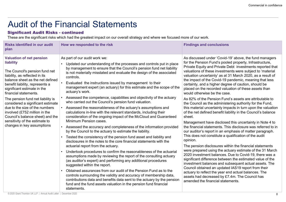|                                                                                                                                                                                                                                                                                                                                                                                                                                                                                                  | <b>Audit of the Financial Statements</b>                                                                                                                                                                                                                                                                                                                                                                                                                                                                                                                                                                                                                                                                                                                                                                                                                                                                                                                                                                                                                                                                                                                                                                                                                                                                                                                                                                                                                                                                                                                                                                                                                                       |                                                                                                                                                                                                                                                                                                                                                                                                                                                                                                                                                                                                                                                                                                                                                                                                                                                                                                                                                                                                                                                                                                                                                                                                                                                                                                                                                                                                                                                                                                                                                                 |
|--------------------------------------------------------------------------------------------------------------------------------------------------------------------------------------------------------------------------------------------------------------------------------------------------------------------------------------------------------------------------------------------------------------------------------------------------------------------------------------------------|--------------------------------------------------------------------------------------------------------------------------------------------------------------------------------------------------------------------------------------------------------------------------------------------------------------------------------------------------------------------------------------------------------------------------------------------------------------------------------------------------------------------------------------------------------------------------------------------------------------------------------------------------------------------------------------------------------------------------------------------------------------------------------------------------------------------------------------------------------------------------------------------------------------------------------------------------------------------------------------------------------------------------------------------------------------------------------------------------------------------------------------------------------------------------------------------------------------------------------------------------------------------------------------------------------------------------------------------------------------------------------------------------------------------------------------------------------------------------------------------------------------------------------------------------------------------------------------------------------------------------------------------------------------------------------|-----------------------------------------------------------------------------------------------------------------------------------------------------------------------------------------------------------------------------------------------------------------------------------------------------------------------------------------------------------------------------------------------------------------------------------------------------------------------------------------------------------------------------------------------------------------------------------------------------------------------------------------------------------------------------------------------------------------------------------------------------------------------------------------------------------------------------------------------------------------------------------------------------------------------------------------------------------------------------------------------------------------------------------------------------------------------------------------------------------------------------------------------------------------------------------------------------------------------------------------------------------------------------------------------------------------------------------------------------------------------------------------------------------------------------------------------------------------------------------------------------------------------------------------------------------------|
| <b>Significant Audit Risks - continued</b>                                                                                                                                                                                                                                                                                                                                                                                                                                                       | These are the significant risks which had the greatest impact on our overall strategy and where we focused more of our work.                                                                                                                                                                                                                                                                                                                                                                                                                                                                                                                                                                                                                                                                                                                                                                                                                                                                                                                                                                                                                                                                                                                                                                                                                                                                                                                                                                                                                                                                                                                                                   |                                                                                                                                                                                                                                                                                                                                                                                                                                                                                                                                                                                                                                                                                                                                                                                                                                                                                                                                                                                                                                                                                                                                                                                                                                                                                                                                                                                                                                                                                                                                                                 |
| <b>Risks identified in our audit</b><br>plan                                                                                                                                                                                                                                                                                                                                                                                                                                                     | How we responded to the risk                                                                                                                                                                                                                                                                                                                                                                                                                                                                                                                                                                                                                                                                                                                                                                                                                                                                                                                                                                                                                                                                                                                                                                                                                                                                                                                                                                                                                                                                                                                                                                                                                                                   | <b>Findings and conclusions</b>                                                                                                                                                                                                                                                                                                                                                                                                                                                                                                                                                                                                                                                                                                                                                                                                                                                                                                                                                                                                                                                                                                                                                                                                                                                                                                                                                                                                                                                                                                                                 |
| <b>Valuation of net pension</b><br>liability<br>The Council's pension fund net<br>liability, as reflected in its<br>balance sheet as the net defined<br>benefit liability, represents a<br>significant estimate in the<br>financial statements.<br>The pension fund net liability is<br>considered a significant estimate<br>due to the size of the numbers<br>involved (£752 million in the<br>Council's balance sheet) and the<br>sensitivity of the estimate to<br>changes in key assumptions | As part of our audit work we:<br>Updated our understanding of the processes and controls put in place<br>by management to ensure that the Council's pension fund net liability<br>is not materially misstated and evaluate the design of the associated<br>controls.<br>Evaluated the instructions issued by management to their<br>management expert (an actuary) for this estimate and the scope of the<br>actuary's work.<br>Assessed the competence, capabilities and objectivity of the actuary<br>who carried out the Council's pension fund valuation.<br>Assessed the reasonableness of the actuary's assumptions and<br>calculations in-line with the relevant standards, including their<br>consideration of the ongoing impact of the McCloud and Guaranteed<br>Minimum Pension cases.<br>• Assessed the accuracy and completeness of the information provided<br>by the Council to the actuary to estimate the liability.<br>Tested the consistency of the pension fund asset and liability and<br>disclosures in the notes to the core financial statements with the<br>actuarial report from the actuary.<br>Undertook procedures to confirm the reasonableness of the actuarial<br>assumptions made by reviewing the report of the consulting actuary<br>(as auditor's expert) and performing any additional procedures<br>suggested within the report.<br>Obtained assurances from our audit of the Pension Fund as to the<br>controls surrounding the validity and accuracy of membership data,<br>contributions data and benefits data sent to the actuary by the pension<br>fund and the fund assets valuation in the pension fund financial<br>statements. | As discussed under 'Covid-19' above, the fund managers<br>for the Pension Fund's pooled property, Infrastructure,<br>Private Equity and Private Debt investments reported that<br>valuations of these investments were subject to 'material<br>valuation uncertainty' as at 31 March 2020, as a result of<br>the impact of the Covid-19 pandemic, meaning that less<br>certainty, and a higher degree of caution, should be<br>placed on the recorded valuation of these assets than<br>would otherwise be the case.<br>As 82% of the Pension Fund's assets are attributable to<br>the Council as the administering authority for the Fund,<br>this material uncertainty impacts in turn upon the valuation<br>of the net defined benefit liability in the Council's balance<br>sheet.<br>Management have disclosed this uncertainty in Note 4 to<br>the financial statements. This disclosure was referred to in<br>our auditor's report in an emphasis of matter paragraph.<br>This does not constitute a qualification of the audit<br>opinion.<br>The pension disclosures within the financial statements<br>were prepared using the actuary estimate of the 31 March<br>2020 investment balances. Due to Covid-19, there was a<br>significant difference between the estimated value of the<br>investment balances and subsequent actual assets. The<br>Council obtained an updated IAS19 report from their<br>actuary to reflect the year end actual balances. The<br>assets had decreased by £7.4m. The Council has<br>amended the financial statements. |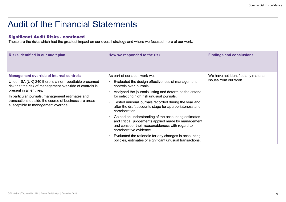|                                                                                                                                                                                                                                                                                                                                                       |                                                                                                                                                                                                                                                                                                                                                                                                                                                                                                                                                                                                                                                                            | Commercial in confidence                                     |  |  |
|-------------------------------------------------------------------------------------------------------------------------------------------------------------------------------------------------------------------------------------------------------------------------------------------------------------------------------------------------------|----------------------------------------------------------------------------------------------------------------------------------------------------------------------------------------------------------------------------------------------------------------------------------------------------------------------------------------------------------------------------------------------------------------------------------------------------------------------------------------------------------------------------------------------------------------------------------------------------------------------------------------------------------------------------|--------------------------------------------------------------|--|--|
| <b>Audit of the Financial Statements</b><br><b>Significant Audit Risks - continued</b><br>These are the risks which had the greatest impact on our overall strategy and where we focused more of our work.                                                                                                                                            |                                                                                                                                                                                                                                                                                                                                                                                                                                                                                                                                                                                                                                                                            |                                                              |  |  |
| Risks identified in our audit plan                                                                                                                                                                                                                                                                                                                    | How we responded to the risk                                                                                                                                                                                                                                                                                                                                                                                                                                                                                                                                                                                                                                               | <b>Findings and conclusions</b>                              |  |  |
| <b>Management override of internal controls</b><br>Under ISA (UK) 240 there is a non-rebuttable presumed<br>risk that the risk of management over-ride of controls is<br>present in all entities.<br>In particular journals, management estimates and<br>transactions outside the course of business are areas<br>susceptible to management override. | As part of our audit work we:<br>Evaluated the design effectiveness of management<br>controls over journals.<br>Analysed the journals listing and determine the criteria<br>for selecting high risk unusual journals.<br>Tested unusual journals recorded during the year and<br>after the draft accounts stage for appropriateness and<br>corroboration.<br>Gained an understanding of the accounting estimates<br>and critical judgements applied made by management<br>and consider their reasonableness with regard to<br>corroborative evidence.<br>Evaluated the rationale for any changes in accounting<br>policies, estimates or significant unusual transactions. | We have not identified any material<br>issues from our work. |  |  |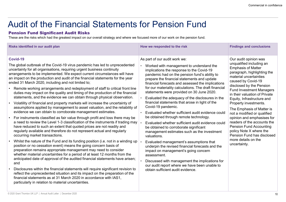## Audit of the Financial Statements for Pension Fund

### Pension Fund Significant Audit Risks

| Commercial in confidence<br><b>Audit of the Financial Statements for Pension Fund</b><br><b>Pension Fund Significant Audit Risks</b>                                                                                                                                                                                                                                                                                                                                                                                                                                                                                                                                                                                                                                                                                                                                                                                                                                                                                                                                                                                                                                                                                                                                                                                                                                                                                                                                                                                                                                                                                                                                                                                                                                                                                                                                                          |                                                                                                                                                                                                                                                                                                                                                                                                                                                                                                                                                                                                                                                                                                                                                                                                                                                                                                                                                                                                                                                                          |                                                                                                                                                                                                                                                                                                                                                                                                                                                                                                                                                                                 |  |  |  |
|-----------------------------------------------------------------------------------------------------------------------------------------------------------------------------------------------------------------------------------------------------------------------------------------------------------------------------------------------------------------------------------------------------------------------------------------------------------------------------------------------------------------------------------------------------------------------------------------------------------------------------------------------------------------------------------------------------------------------------------------------------------------------------------------------------------------------------------------------------------------------------------------------------------------------------------------------------------------------------------------------------------------------------------------------------------------------------------------------------------------------------------------------------------------------------------------------------------------------------------------------------------------------------------------------------------------------------------------------------------------------------------------------------------------------------------------------------------------------------------------------------------------------------------------------------------------------------------------------------------------------------------------------------------------------------------------------------------------------------------------------------------------------------------------------------------------------------------------------------------------------------------------------|--------------------------------------------------------------------------------------------------------------------------------------------------------------------------------------------------------------------------------------------------------------------------------------------------------------------------------------------------------------------------------------------------------------------------------------------------------------------------------------------------------------------------------------------------------------------------------------------------------------------------------------------------------------------------------------------------------------------------------------------------------------------------------------------------------------------------------------------------------------------------------------------------------------------------------------------------------------------------------------------------------------------------------------------------------------------------|---------------------------------------------------------------------------------------------------------------------------------------------------------------------------------------------------------------------------------------------------------------------------------------------------------------------------------------------------------------------------------------------------------------------------------------------------------------------------------------------------------------------------------------------------------------------------------|--|--|--|
| These are the risks which had the greatest impact on our overall strategy and where we focused more of our work on the pension fund.<br>Risks identified in our audit plan                                                                                                                                                                                                                                                                                                                                                                                                                                                                                                                                                                                                                                                                                                                                                                                                                                                                                                                                                                                                                                                                                                                                                                                                                                                                                                                                                                                                                                                                                                                                                                                                                                                                                                                    | How we responded to the risk                                                                                                                                                                                                                                                                                                                                                                                                                                                                                                                                                                                                                                                                                                                                                                                                                                                                                                                                                                                                                                             | <b>Findings and conclusions</b>                                                                                                                                                                                                                                                                                                                                                                                                                                                                                                                                                 |  |  |  |
| Covid-19<br>The global outbreak of the Covid-19 virus pandemic has led to unprecedented<br>uncertainty for all organisations, requiring urgent business continuity<br>arrangements to be implemented. We expect current circumstances will have<br>an impact on the production and audit of the financial statements for the year<br>ended 31 March 2020, including and not limited to;<br>Remote working arrangements and redeployment of staff to critical front line<br>duties may impact on the quality and timing of the production of the financial<br>statements, and the evidence we can obtain through physical observation.<br>Volatility of financial and property markets will increase the uncertainty of<br>assumptions applied by management to asset valuation, and the reliability of<br>evidence we can obtain to corroborate management estimates.<br>For instruments classified as fair value through profit and loss there may be<br>a need to review the Level 1-3 classification of the instruments if trading may $\vert \cdot \vert$<br>have reduced to such an extent that quoted prices are not readily and<br>regularly available and therefore do not represent actual and regularly<br>occurring market transactions.<br>Whilst the nature of the Fund and its funding position (i.e. not in a winding up<br>position or no cessation event) means the going concern basis of<br>preparation remains appropriate management may need to consider<br>whether material uncertainties for a period of at least 12 months from the<br>anticipated date of approval of the audited financial statements have arisen;<br>and<br>Disclosures within the financial statements will require significant revision to<br>reflect the unprecedented situation and its impact on the preparation of the<br>financial statements as at 31 March 2020 in accordance with IAS1, | As part of our audit work we:<br>Worked with management to understand the<br>implications the response to the Covid-19<br>pandemic had on the pension fund's ability to<br>prepare the financial statements and update<br>financial forecasts and assessed the implications<br>for our materiality calculations. The draft financial<br>statements were provided on 30 June 2020.<br>Evaluated the adequacy of the disclosures in the<br>financial statements that arose in light of the<br>Covid-19 pandemic.<br>Evaluated whether sufficient audit evidence could<br>be obtained through remote technology.<br>Evaluated whether sufficient audit evidence could<br>be obtained to corroborate significant<br>management estimates such as the investment<br>valuations.<br>Evaluated management's assumptions that<br>underpin the revised financial forecasts and the<br>impact on management's going concern<br>assessment.<br>Discussed with management the implications for<br>our audit report where we have been unable to<br>obtain sufficient audit evidence. | Our audit opinion was<br>unqualified including an<br><b>Emphasis of Matter</b><br>paragraph, highlighting the<br>material uncertainties<br>caused by Covid-19<br>disclosed by the Pension<br><b>Fund Investment Managers</b><br>in their valuation of Private<br>Equity, Infrastructure and<br>Property investments.<br>The Emphasis of Matter is<br>not a modified or qualified<br>opinion and emphasises for<br>readers of the accounts the<br><b>Pension Fund Accounting</b><br>policy Note X where the<br>Pension Fund has disclosed<br>more details on the<br>uncertainty. |  |  |  |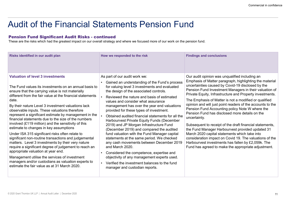## Audit of the Financial Statements Pension Fund

|                                                                                                                                                                                                                                                                                                                                                                                                                                                                                                                                                                                                                                                                                                                                                                                                                                                                                                                                                                          |                                                                                                                                                                                                                                                                                                                                                                                                                                                                                                                                                                                                                                                                                                                                                                                                                                                                                                                      | Commercial in confidence                                                                                                                                                                                                                                                                                                                                                                                                                                                                                                                                                                                                                                                                                                                                                                                                                                                  |
|--------------------------------------------------------------------------------------------------------------------------------------------------------------------------------------------------------------------------------------------------------------------------------------------------------------------------------------------------------------------------------------------------------------------------------------------------------------------------------------------------------------------------------------------------------------------------------------------------------------------------------------------------------------------------------------------------------------------------------------------------------------------------------------------------------------------------------------------------------------------------------------------------------------------------------------------------------------------------|----------------------------------------------------------------------------------------------------------------------------------------------------------------------------------------------------------------------------------------------------------------------------------------------------------------------------------------------------------------------------------------------------------------------------------------------------------------------------------------------------------------------------------------------------------------------------------------------------------------------------------------------------------------------------------------------------------------------------------------------------------------------------------------------------------------------------------------------------------------------------------------------------------------------|---------------------------------------------------------------------------------------------------------------------------------------------------------------------------------------------------------------------------------------------------------------------------------------------------------------------------------------------------------------------------------------------------------------------------------------------------------------------------------------------------------------------------------------------------------------------------------------------------------------------------------------------------------------------------------------------------------------------------------------------------------------------------------------------------------------------------------------------------------------------------|
| <b>Audit of the Financial Statements Pension Fund</b>                                                                                                                                                                                                                                                                                                                                                                                                                                                                                                                                                                                                                                                                                                                                                                                                                                                                                                                    |                                                                                                                                                                                                                                                                                                                                                                                                                                                                                                                                                                                                                                                                                                                                                                                                                                                                                                                      |                                                                                                                                                                                                                                                                                                                                                                                                                                                                                                                                                                                                                                                                                                                                                                                                                                                                           |
| <b>Pension Fund Significant Audit Risks - continued</b><br>These are the risks which had the greatest impact on our overall strategy and where we focused more of our work on the pension fund.                                                                                                                                                                                                                                                                                                                                                                                                                                                                                                                                                                                                                                                                                                                                                                          |                                                                                                                                                                                                                                                                                                                                                                                                                                                                                                                                                                                                                                                                                                                                                                                                                                                                                                                      |                                                                                                                                                                                                                                                                                                                                                                                                                                                                                                                                                                                                                                                                                                                                                                                                                                                                           |
| Risks identified in our audit plan                                                                                                                                                                                                                                                                                                                                                                                                                                                                                                                                                                                                                                                                                                                                                                                                                                                                                                                                       | How we responded to the risk                                                                                                                                                                                                                                                                                                                                                                                                                                                                                                                                                                                                                                                                                                                                                                                                                                                                                         | <b>Findings and conclusions</b>                                                                                                                                                                                                                                                                                                                                                                                                                                                                                                                                                                                                                                                                                                                                                                                                                                           |
| <b>Valuation of level 3 investments</b><br>The Fund values its investments on an annual basis to<br>ensure that the carrying value is not materially<br>different from the fair value at the financial statements<br>date.<br>By their nature Level 3 investment valuations lack<br>observable inputs. These valuations therefore<br>represent a significant estimate by management in the<br>financial statements due to the size of the numbers<br>involved (£119 million) and the sensitivity of this<br>estimate to changes in key assumptions<br>Under ISA 315 significant risks often relate to<br>significant non-routine transactions and judgemental<br>matters. Level 3 investments by their very nature<br>require a significant degree of judgement to reach an<br>appropriate valuation at year end.<br>Management utilise the services of investment<br>managers and/or custodians as valuation experts to<br>estimate the fair value as at 31 March 2020. | As part of our audit work we:<br>Gained an understanding of the Fund's process<br>$\bullet$<br>for valuing level 3 investments and evaluated<br>the design of the associated controls.<br>Reviewed the nature and basis of estimated<br>values and consider what assurance<br>management has over the year end valuations<br>provided for these types of investment.<br>Obtained audited financial statements for all the<br>Harbourvest Private Equity Funds (December<br>2019) and JP Morgan Infrastructure Fund<br>(December 2019) and compared the audited<br>fund valuation with the Fund Manager capital<br>statements at the same period. We checked<br>any cash movements between December 2019<br>and March 2020.<br>Considered the competence, expertise and<br>$\bullet$<br>objectivity of any management experts used.<br>Verified the investment balances to the fund<br>manager and custodian reports. | Our audit opinion was unqualified including an<br>Emphasis of Matter paragraph, highlighting the material<br>uncertainties caused by Covid-19 disclosed by the<br>Pension Fund Investment Managers in their valuation of<br>Private Equity, Infrastructure and Property investments.<br>The Emphasis of Matter is not a modified or qualified<br>opinion and will just point readers of the accounts to the<br>Pension Fund Accounting policy Note W where the<br>Pension Fund has disclosed more details on the<br>uncertainty.<br>Subsequent to receipt of the draft financial statements,<br>the Fund Manager Harbourvest provided updated 31<br>March 2020 capital statements which take into<br>consideration impact on Covid 19. The valuations of the<br>Harbourvest investments has fallen by £2,059k. The<br>Fund has agreed to make the appropriate adjustment. |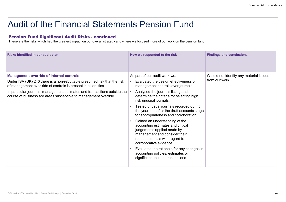## Audit of the Financial Statements Pension Fund

|                                                                                                                                                                                                                                                                                                                                                 |                                                                                                                                                                                                                                                                                                                                                                                                                                                                                                                                                                                                                                                                                        | Commercial in confidence                                  |
|-------------------------------------------------------------------------------------------------------------------------------------------------------------------------------------------------------------------------------------------------------------------------------------------------------------------------------------------------|----------------------------------------------------------------------------------------------------------------------------------------------------------------------------------------------------------------------------------------------------------------------------------------------------------------------------------------------------------------------------------------------------------------------------------------------------------------------------------------------------------------------------------------------------------------------------------------------------------------------------------------------------------------------------------------|-----------------------------------------------------------|
| <b>Audit of the Financial Statements Pension Fund</b>                                                                                                                                                                                                                                                                                           |                                                                                                                                                                                                                                                                                                                                                                                                                                                                                                                                                                                                                                                                                        |                                                           |
| <b>Pension Fund Significant Audit Risks - continued</b><br>These are the risks which had the greatest impact on our overall strategy and where we focused more of our work on the pension fund.                                                                                                                                                 |                                                                                                                                                                                                                                                                                                                                                                                                                                                                                                                                                                                                                                                                                        |                                                           |
| Risks identified in our audit plan                                                                                                                                                                                                                                                                                                              | How we responded to the risk                                                                                                                                                                                                                                                                                                                                                                                                                                                                                                                                                                                                                                                           | <b>Findings and conclusions</b>                           |
| <b>Management override of internal controls</b><br>Under ISA (UK) 240 there is a non-rebuttable presumed risk that the risk<br>of management over-ride of controls is present in all entities.<br>In particular journals, management estimates and transactions outside the<br>course of business are areas susceptible to management override. | As part of our audit work we:<br>Evaluated the design effectiveness of<br>management controls over journals.<br>Analysed the journals listing and<br>determine the criteria for selecting high<br>risk unusual journals.<br>Tested unusual journals recorded during<br>the year and after the draft accounts stage<br>for appropriateness and corroboration.<br>Gained an understanding of the<br>accounting estimates and critical<br>judgements applied made by<br>management and consider their<br>reasonableness with regard to<br>corroborative evidence.<br>Evaluated the rationale for any changes in<br>accounting policies, estimates or<br>significant unusual transactions. | We did not identify any material issues<br>from our work. |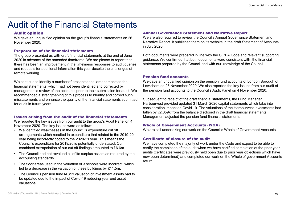### Audit opinion

We gave an unqualified opinion on the group's financial statements on 26 November 2020.

#### Preparation of the financial statements

The group presented us with draft financial statements at the end of June 2020 in advance of the amended timeframe. We are please to report that there has been an improvement in the timeliness responses to audit queries and requests for additional information this year despite the challenges of remote working.

We continue to identify a number of presentational amendments to the financial statements, which had not been identified and corrected by management's review of the accounts prior to their submission for audit. We recommended a strengthening of this process to identify and correct such for audit in future years. **Preparation of the financial statements**<br>
The group presented us with draft financial statements at the end of June<br>
2020 in advance of the amended timeframe. We are please to report that<br>
2020 in advance of the amended t All revalues for additional information this year despite the challenges of<br>
Fremote working.<br>
The Council of the Council of the counts prior to their submission for audit. We gave an uniformatial statements, which had no We continue to identify a number of presentational amendments to the<br>
financial statements, which had not been identified and corrected by<br>
the valuation of an and the secular prior to their submission for audit. We<br>
the

### Issues arising from the audit of the financial statements

We reported the key issues from our audit to the group's Audit Panel on 4 November 2020. The key issues were as follows:

- arrangements which resulted in expenditure that related to the 2019-20 year being incorrectly coded to the 2020-21 year. This means the Council's expenditure for 2019/20 is potentially understated. Our combined extrapolation of our cut off findings amounted to £6.6m. mancial statements, which had not been identited and corrected by<br>
management's review of the accounts prior to their submission for audit. We<br>
the pension functions<br>
the commended a sterenthening of this process to identi
- accounting standards.
- led to a decrease in the valuation of these buildings by £11.5m.
- be updated due to the impact of Covid-19 reducing year end asset valuations.

#### Annual Governance Statement and Narrative Report

We are also required to review the Council's Annual Governance Statement and Narrative Report. It published them on its website in the draft Statement of Accounts in July 2020.

Both documents were prepared in line with the CIPFA Code and relevant supporting guidance. We confirmed that both documents were consistent with the financial statements prepared by the Council and with our knowledge of the Council.

#### Pension fund accounts

We gave an unqualified opinion on the pension fund accounts of London Borough of Lewisham on 26 November 2020. We also reported the key issues from our audit of the pension fund accounts to the Council's Audit Panel on 4 November 2020.

misstatements and enhance the quality of the financial statements submitted Subsequent to receipt of the draft financial statements, the Fund Manager<br>Harbourvest provided updated 31 March 2020 capital statements which take Subsequent to receipt of the draft financial statements, the Fund Manager **Annual Governance Statement and Narrative Report**<br>
We are also required to review the Council's Annual Governance Statement and<br>
Narrative Report. It published them on its website in the draft Statement of Accounts<br>
In Ju **Annual Governance Statement and Narrative Report**<br>We are also required to review the Council's Annual Governance Statement and<br>Narrative Report. It published them on its website in the draft Statement of Accounts<br>in July fallen by £2,059k from the balance disclosed in the draft financial statements. Management adjusted the pension fund financial statements.

#### Whole of Government Accounts (WGA)

We are still undertaking our work on the Council's Whole of Government Accounts.

### Certificate of closure of the audit

We have completed the majority of work under the Code and expect to be able to certify the completion of the audit when we have certified completion of the prior year audits (certificates were previously held open due to prior year objections which have now been determined) and completed our work on the Whole of government Accounts return.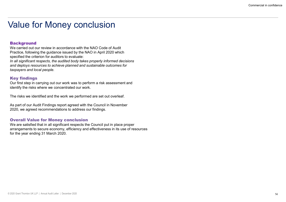### **Background**

We carried out our review in accordance with the NAO Code of Audit Practice, following the guidance issued by the NAO in April 2020 which specified the criterion for auditors to evaluate: In all significant respects, the audited body takes properly informed decisions

and deploys resources to achieve planned and sustainable outcomes for taxpayers and local people.

### Key findings

Our first step in carrying out our work was to perform a risk assessment and identify the risks where we concentrated our work.

The risks we identified and the work we performed are set out overleaf.

As part of our Audit Findings report agreed with the Council in November 2020, we agreed recommendations to address our findings.

### Overall Value for Money conclusion

We are satisfied that in all significant respects the Council put in place proper arrangements to secure economy, efficiency and effectiveness in its use of resources for the year ending 31 March 2020.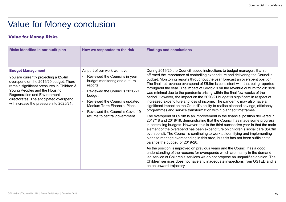### Value for Money Risks

| <b>Value for Money conclusion</b>                                                                                                                                                                                                                                                                                        |                                                                                                                                                                                                                                                                                                 | Commercial in confidence                                                                                                                                                                                                                                                                                                                                                                                                                                                                                                                                                                                                                                                                                                                                                                                                                                                                                                                                                                                                                                                                                                                                                                                                                                                                                                                                                                                                                                                                                                                                                                                                                                                                               |
|--------------------------------------------------------------------------------------------------------------------------------------------------------------------------------------------------------------------------------------------------------------------------------------------------------------------------|-------------------------------------------------------------------------------------------------------------------------------------------------------------------------------------------------------------------------------------------------------------------------------------------------|--------------------------------------------------------------------------------------------------------------------------------------------------------------------------------------------------------------------------------------------------------------------------------------------------------------------------------------------------------------------------------------------------------------------------------------------------------------------------------------------------------------------------------------------------------------------------------------------------------------------------------------------------------------------------------------------------------------------------------------------------------------------------------------------------------------------------------------------------------------------------------------------------------------------------------------------------------------------------------------------------------------------------------------------------------------------------------------------------------------------------------------------------------------------------------------------------------------------------------------------------------------------------------------------------------------------------------------------------------------------------------------------------------------------------------------------------------------------------------------------------------------------------------------------------------------------------------------------------------------------------------------------------------------------------------------------------------|
| <b>Value for Money Risks</b>                                                                                                                                                                                                                                                                                             |                                                                                                                                                                                                                                                                                                 |                                                                                                                                                                                                                                                                                                                                                                                                                                                                                                                                                                                                                                                                                                                                                                                                                                                                                                                                                                                                                                                                                                                                                                                                                                                                                                                                                                                                                                                                                                                                                                                                                                                                                                        |
| Risks identified in our audit plan                                                                                                                                                                                                                                                                                       | How we responded to the risk                                                                                                                                                                                                                                                                    | <b>Findings and conclusions</b>                                                                                                                                                                                                                                                                                                                                                                                                                                                                                                                                                                                                                                                                                                                                                                                                                                                                                                                                                                                                                                                                                                                                                                                                                                                                                                                                                                                                                                                                                                                                                                                                                                                                        |
| <b>Budget Management</b><br>You are currently projecting a £5.4m<br>overspend on the 2019/20 budget. There<br>remain significant pressures in Children &<br>Young Peoples and the Housing,<br><b>Regeneration and Environment</b><br>directorates. The anticipated overspend<br>will increase the pressure into 2020/21. | As part of our work we have:<br>Reviewed the Council's in year<br>budget monitoring and outturn<br>reports.<br>Reviewed the Council's 2020-21<br>budget.<br>Reviewed the Council's updated<br>Medium Term Financial Plans.<br>Reviewed the Council's Covid-19<br>returns to central government. | During 2019/20 the Council issued instructions to budget managers that re-<br>affirmed the importance of controlling expenditure and delivering the Council's<br>budget. Monitoring reports throughout the year forecast an overspent position.<br>The final net revenue overspend of £5.9m is consistent with that being reported<br>throughout the year. The impact of Covid-19 on the revenue outturn for 2019/20<br>was minimal due to the pandemic arising within the final few weeks of the<br>period. However, the impact on the 2020/21 budget is significant in respect of<br>increased expenditure and loss of income. The pandemic may also have a<br>significant impact on the Council's ability to realise planned savings, efficiency<br>programmes and service transformation within planned timeframes.<br>The overspend of £5.9m is an improvement in the financial position delivered in<br>2017/18 and 2018/19, demonstrating that the Council has made some progress<br>in controlling budgets. However, this is the third successive year in that the main<br>element of the overspend has been expenditure on children's social care (£4.3m)<br>overspend). The Council is continuing to work at identifying and implementing<br>plans to manage overspending in this area, but this has not been sufficient to<br>balance the budget for 2019-20.<br>As the position is improved on previous years and the Council has a good<br>understanding of the reasons for overspends which are mainly in the demand<br>led service of Children's services we do not propose an unqualified opinion. The<br>Children services does not have any inadequate inspections from OSTED and is |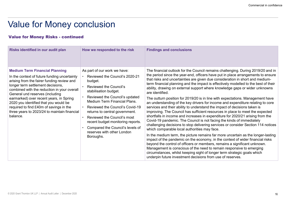| <b>Value for Money conclusion</b>                                                                                                                                                                                                                                                                                                                                                                                                                     |                                                                                                                                                                                                                                                                                                                                                                                                                                            | Commercial in confidence                                                                                                                                                                                                                                                                                                                                                                                                                                                                                                                                                                                                                                                                                                                                                                                                                                                                                                                                                                                                                                                                                                                                                                                                                                                                                                                                                                                                                                                                                                                               |
|-------------------------------------------------------------------------------------------------------------------------------------------------------------------------------------------------------------------------------------------------------------------------------------------------------------------------------------------------------------------------------------------------------------------------------------------------------|--------------------------------------------------------------------------------------------------------------------------------------------------------------------------------------------------------------------------------------------------------------------------------------------------------------------------------------------------------------------------------------------------------------------------------------------|--------------------------------------------------------------------------------------------------------------------------------------------------------------------------------------------------------------------------------------------------------------------------------------------------------------------------------------------------------------------------------------------------------------------------------------------------------------------------------------------------------------------------------------------------------------------------------------------------------------------------------------------------------------------------------------------------------------------------------------------------------------------------------------------------------------------------------------------------------------------------------------------------------------------------------------------------------------------------------------------------------------------------------------------------------------------------------------------------------------------------------------------------------------------------------------------------------------------------------------------------------------------------------------------------------------------------------------------------------------------------------------------------------------------------------------------------------------------------------------------------------------------------------------------------------|
|                                                                                                                                                                                                                                                                                                                                                                                                                                                       |                                                                                                                                                                                                                                                                                                                                                                                                                                            |                                                                                                                                                                                                                                                                                                                                                                                                                                                                                                                                                                                                                                                                                                                                                                                                                                                                                                                                                                                                                                                                                                                                                                                                                                                                                                                                                                                                                                                                                                                                                        |
| <b>Value for Money Risks - continued</b>                                                                                                                                                                                                                                                                                                                                                                                                              |                                                                                                                                                                                                                                                                                                                                                                                                                                            |                                                                                                                                                                                                                                                                                                                                                                                                                                                                                                                                                                                                                                                                                                                                                                                                                                                                                                                                                                                                                                                                                                                                                                                                                                                                                                                                                                                                                                                                                                                                                        |
| Risks identified in our audit plan                                                                                                                                                                                                                                                                                                                                                                                                                    | How we responded to the risk                                                                                                                                                                                                                                                                                                                                                                                                               | <b>Findings and conclusions</b>                                                                                                                                                                                                                                                                                                                                                                                                                                                                                                                                                                                                                                                                                                                                                                                                                                                                                                                                                                                                                                                                                                                                                                                                                                                                                                                                                                                                                                                                                                                        |
| <b>Medium Term Financial Planning</b><br>In the context of future funding uncertainty<br>arising from the fairer funding review and<br>longer term settlement decisions,<br>combined with the reduction in your overall<br>General und reserves (including<br>earmarked) over recent years, in Spring<br>2020 you identified that you would be<br>required to find £40m of savings in the<br>three years to 2023/24 to maintain financial<br>balance. | As part of our work we have:<br>Reviewed the Council's 2020-21<br>budget.<br>Reviewed the Council's<br>stabilisation budget.<br>Reviewed the Council's updated<br><b>Medium Term Financial Plans.</b><br>Reviewed the Council's Covid-19<br>returns to central government.<br>Reviewed the Council's most<br>$\bullet$<br>recent budget monitoring reports.<br>Compared the Council's levels of<br>reserves with other London<br>Boroughs. | The financial outlook for the Council remains challenging. During 2019/20 and in<br>the period since the year-end, officers have put in place arrangements to ensure<br>that risks and uncertainties are given due consideration in short and medium-<br>term financial planning and the impact is effectively modelled to the best of their<br>ability, drawing on external support where knowledge gaps or wider unknowns<br>are identified.<br>The outturn position for 2019/20 is in line with expectations. Management have<br>an understanding of the key drivers for income and expenditure relating to core<br>services and their ability to understand the impact of decisions taken is<br>improving. The Council has sufficient resources in place to meet the expected<br>shortfalls in income and increases in expenditure for 2020/21 arising from the<br>Covid-19 pandemic. The Council is not facing the kinds of immediately<br>challenging decisions to stop delivering services or consider Section 114 notices<br>which comparable local authorities may face.<br>In the medium term, the picture remains far more uncertain as the longer-lasting<br>impact of the pandemic on the economy, in the context of wider financial risks<br>beyond the control of officers or members, remains a significant unknown.<br>Management is conscious of the need to remain responsive to emerging<br>circumstances, whilst keeping sight of longer term strategic goals which<br>underpin future investment decisions from use of reserves. |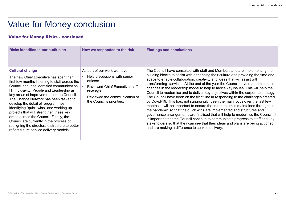| <b>Value for Money conclusion</b><br><b>Value for Money Risks - continued</b>                                                                                                                                                                                                                                                                                                                                                                                                                                                                                                                                |                                                                                                                                                                                                | Commercial in confidence                                                                                                                                                                                                                                                                                                                                                                                                                                                                                                                                                                                                                                                                                                                                                                                                                                                                                                                                                                                                                                                                                                                               |
|--------------------------------------------------------------------------------------------------------------------------------------------------------------------------------------------------------------------------------------------------------------------------------------------------------------------------------------------------------------------------------------------------------------------------------------------------------------------------------------------------------------------------------------------------------------------------------------------------------------|------------------------------------------------------------------------------------------------------------------------------------------------------------------------------------------------|--------------------------------------------------------------------------------------------------------------------------------------------------------------------------------------------------------------------------------------------------------------------------------------------------------------------------------------------------------------------------------------------------------------------------------------------------------------------------------------------------------------------------------------------------------------------------------------------------------------------------------------------------------------------------------------------------------------------------------------------------------------------------------------------------------------------------------------------------------------------------------------------------------------------------------------------------------------------------------------------------------------------------------------------------------------------------------------------------------------------------------------------------------|
| Risks identified in our audit plan                                                                                                                                                                                                                                                                                                                                                                                                                                                                                                                                                                           | How we responded to the risk                                                                                                                                                                   | <b>Findings and conclusions</b>                                                                                                                                                                                                                                                                                                                                                                                                                                                                                                                                                                                                                                                                                                                                                                                                                                                                                                                                                                                                                                                                                                                        |
| <b>Cultural change</b><br>The new Chief Executive has spent her<br>first few months listening to staff across the<br>Council and has identified communication,<br>IT, Inclusivity, People and Leadership as<br>key areas of improvement for the Council.<br>The Change Network has been tasked to<br>develop the detail of programmes<br>identifying "quick wins" and working up<br>projects that will strengthen these key<br>areas across the Council. Finally, the<br>Council are currently in the process of<br>realigning the directorate structure to better<br>reflect future service delivery models | As part of our work we have:<br>Held discussions with senior<br>officers.<br><b>Reviewed Chief Executive staff</b><br>briefings.<br>Reviewed the communication of<br>the Council's priorities. | The Council have consulted with staff and Members and are implementing the<br>building blocks to assist with enhancing their culture and providing the time and<br>space to enable collaboration, creativity and ideas that will assist with<br>transforming services. At the end of the year the Council have made structural<br>changes in the leadership model to help to tackle key issues. This will help the<br>Council to modernise and to deliver key objectives within the corporate strategy.<br>The Council have been on the front line in responding to the challenges created<br>by Covid-19. This has, not surprisingly, been the main focus over the last few<br>months. It will be important to ensure that momentum is maintained throughout<br>the pandemic so that the quick wins are implemented and structures and<br>governance arrangements are finalised that will help to modernise the Council. It<br>is important that the Council continue to communicate progress to staff and key<br>stakeholders so that they can see that their ideas and plans are being actioned<br>and are making a difference to service delivery. |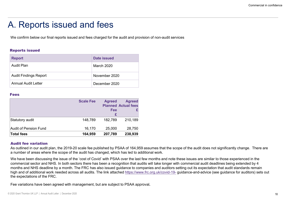### A. Reports issued and fees

#### Reports issued

| A. Reports issued and fees                                                                                   |                  |                    |                            |  |
|--------------------------------------------------------------------------------------------------------------|------------------|--------------------|----------------------------|--|
|                                                                                                              |                  |                    |                            |  |
| We confirm below our final reports issued and fees charged for the audit and provision of non-audit services |                  |                    |                            |  |
|                                                                                                              |                  |                    |                            |  |
| <b>Reports issued</b>                                                                                        |                  |                    |                            |  |
| <b>Report</b>                                                                                                |                  | <b>Date issued</b> |                            |  |
| <b>Audit Plan</b>                                                                                            |                  | March 2020         |                            |  |
| <b>Audit Findings Report</b>                                                                                 |                  | November 2020      |                            |  |
| <b>Annual Audit Letter</b>                                                                                   |                  | December 2020      |                            |  |
| <b>Fees</b>                                                                                                  |                  |                    |                            |  |
|                                                                                                              | <b>Scale Fee</b> | <b>Agreed</b>      | <b>Agreed</b>              |  |
|                                                                                                              |                  |                    | <b>Planned Actual fees</b> |  |
|                                                                                                              |                  | <b>Fee</b><br>£    | £                          |  |
| Statutory audit                                                                                              | 148,789          | 182,789            | 210,189                    |  |

#### Fees and the contract of the contract of the contract of the contract of the contract of the contract of the contract of the contract of the contract of the contract of the contract of the contract of the contract of the c

| <b>Reports issued</b>        |                  |                    |                                             |
|------------------------------|------------------|--------------------|---------------------------------------------|
| <b>Report</b>                |                  | <b>Date issued</b> |                                             |
| <b>Audit Plan</b>            |                  | March 2020         |                                             |
| <b>Audit Findings Report</b> |                  | November 2020      |                                             |
| <b>Annual Audit Letter</b>   |                  | December 2020      |                                             |
| <b>Fees</b>                  |                  |                    |                                             |
|                              | <b>Scale Fee</b> | <b>Agreed</b>      | <b>Agreed</b><br><b>Planned Actual fees</b> |
|                              |                  | Fee<br>£           |                                             |
| Statutory audit              | 148,789          | 182,789            | 210,189                                     |
|                              | 16,170           | 25,000             | 28,750                                      |
| Audit of Pension Fund        |                  |                    |                                             |

#### Audit fee variation

As outlined in our audit plan, the 2019-20 scale fee published by PSAA of 164,959 assumes that the scope of the audit does not significantly change. There are a number of areas where the scope of the audit has changed, which has led to additional work.

We have been discussing the issue of the 'cost of Covid' with PSAA over the last few months and note these issues are similar to those experienced in the commercial sector and NHS. In both sectors there has been a recognition that audits will take longer with commercial audit deadlines being extended by 4 months and NHS deadline by a month. The FRC has also issued guidance to companies and auditors setting out its expectation that audit standards remain high and of additional work needed across all audits. The link attached https://www.frc.org.uk/covid-19- guidance-and-advice (see guidance for auditors) sets out the expectations of the FRC.

Fee variations have been agreed with management, but are subject to PSAA approval.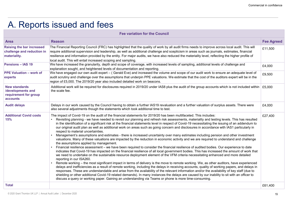## A. Reports issued and fees

|                                                                                | A. Reports issued and fees<br><b>Fee variation for the Council</b>                                                                                                                                                                                                                                                                                                                                                                                                                                                                                                                                                                                                                                                                                                                                                                                                                                                                                                                                                                                                                                                                                                                                                                                                                                                                                                                                                                                                                                                                                                                                                                                                                                                                                                                                                                                                                                                                                                                                                                                                                                |                   |
|--------------------------------------------------------------------------------|---------------------------------------------------------------------------------------------------------------------------------------------------------------------------------------------------------------------------------------------------------------------------------------------------------------------------------------------------------------------------------------------------------------------------------------------------------------------------------------------------------------------------------------------------------------------------------------------------------------------------------------------------------------------------------------------------------------------------------------------------------------------------------------------------------------------------------------------------------------------------------------------------------------------------------------------------------------------------------------------------------------------------------------------------------------------------------------------------------------------------------------------------------------------------------------------------------------------------------------------------------------------------------------------------------------------------------------------------------------------------------------------------------------------------------------------------------------------------------------------------------------------------------------------------------------------------------------------------------------------------------------------------------------------------------------------------------------------------------------------------------------------------------------------------------------------------------------------------------------------------------------------------------------------------------------------------------------------------------------------------------------------------------------------------------------------------------------------------|-------------------|
|                                                                                |                                                                                                                                                                                                                                                                                                                                                                                                                                                                                                                                                                                                                                                                                                                                                                                                                                                                                                                                                                                                                                                                                                                                                                                                                                                                                                                                                                                                                                                                                                                                                                                                                                                                                                                                                                                                                                                                                                                                                                                                                                                                                                   |                   |
| <b>Area</b><br><b>Raising the bar increased</b>                                | <b>Reason</b><br>The Financial Reporting Council (FRC) has highlighted that the quality of work by all audit firms needs to improve across local audit. This will                                                                                                                                                                                                                                                                                                                                                                                                                                                                                                                                                                                                                                                                                                                                                                                                                                                                                                                                                                                                                                                                                                                                                                                                                                                                                                                                                                                                                                                                                                                                                                                                                                                                                                                                                                                                                                                                                                                                 | <b>Fee Agreed</b> |
| challenge and reduction in<br>materiality.                                     | require additional supervision and leadership, as well as additional challenge and scepticism in areas such as journals, estimates, financial<br>resilience and information provided by the entity. For major audits, we have also reduced the materiality level, reflecting the higher profile of<br>local audit. This will entail increased scoping and sampling.                                                                                                                                                                                                                                                                                                                                                                                                                                                                                                                                                                                                                                                                                                                                                                                                                                                                                                                                                                                                                                                                                                                                                                                                                                                                                                                                                                                                                                                                                                                                                                                                                                                                                                                               | £11,500           |
| <b>Pensions - IAS 19</b>                                                       | We have increased the granularity, depth and scope of coverage, with increased levels of sampling, additional levels of challenge and<br>explanation sought, and heightened levels of documentation and reporting.                                                                                                                                                                                                                                                                                                                                                                                                                                                                                                                                                                                                                                                                                                                                                                                                                                                                                                                                                                                                                                                                                                                                                                                                                                                                                                                                                                                                                                                                                                                                                                                                                                                                                                                                                                                                                                                                                | £4,000            |
| <b>PPE Valuation - work of</b><br>experts                                      | We have engaged our own audit expert - (Gerald Eve) and increased the volume and scope of our audit work to ensure an adequate level of<br>audit scrutiny and challenge over the assumptions that underpin PPE valuations. We estimate that the cost of the auditors expert will be in the<br>region of £5,000. The 2019/20 year also included detailed work on beacons.                                                                                                                                                                                                                                                                                                                                                                                                                                                                                                                                                                                                                                                                                                                                                                                                                                                                                                                                                                                                                                                                                                                                                                                                                                                                                                                                                                                                                                                                                                                                                                                                                                                                                                                          | £9,500            |
| <b>New standards</b><br>/developments and<br>requirement for group<br>accounts | Additional work will be required for disclosures required in 2019/20 under IAS8 plus the audit of the group accounts which is not included within   £5,000<br>the scale fee.                                                                                                                                                                                                                                                                                                                                                                                                                                                                                                                                                                                                                                                                                                                                                                                                                                                                                                                                                                                                                                                                                                                                                                                                                                                                                                                                                                                                                                                                                                                                                                                                                                                                                                                                                                                                                                                                                                                      |                   |
| <b>Audit delays</b>                                                            | Delays in our work caused by the Council having to obtain a further IAS19 revaluation and a further valuation of surplus assets. There were<br>also several adjustments though the statements which took additional time to test.                                                                                                                                                                                                                                                                                                                                                                                                                                                                                                                                                                                                                                                                                                                                                                                                                                                                                                                                                                                                                                                                                                                                                                                                                                                                                                                                                                                                                                                                                                                                                                                                                                                                                                                                                                                                                                                                 | £4,000            |
| <b>Additional Covid costs</b><br>15%                                           | The impact of Covid-19 on the audit of the financial statements for 2019/20 has been multifaceted. This includes:<br>Revisiting planning - we have needed to revisit our planning and refresh risk assessments, materiality and testing levels. This has resulted<br>in the identification of a significant risk at the financial statements level in respect of Covid-19 necessitating the issuing of an addendum to<br>our original audit plan as well as additional work on areas such as going concern and disclosures in accordance with IAS1 particularly in<br>respect to material uncertainties.<br>Management's assumptions and estimates - there is increased uncertainty over many estimates including pension and other investment<br>valuations. Many of these valuations are impacted by the reduction in economic activity and we are required to understand and challenge<br>the assumptions applied by management.<br>Financial resilience assessment - we have been required to consider the financial resilience of audited bodies. Our experience to date<br>indicates that Covid-19 has impacted on the financial resilience of all local government bodies. This has increased the amount of work that<br>we need to undertake on the sustainable resource deployment element of the VFM criteria necessitating enhanced and more detailed<br>reporting in our ISA260.<br>Remote working – the most significant impact in terms of delivery is the move to remote working. We, as other auditors, have experienced<br>delays and inefficiencies as a result of remote working, including the delays in receiving accounts, quality of working papers, and delays in<br>responses. These are understandable and arise from the availability of the relevant information and/or the availability of key staff (due to<br>shielding or other additional Covid-19 related demands). In many instances the delays are caused by our inability to sit with an officer to<br>discuss a query or working paper. Gaining an understanding via Teams or phone is more time-consuming. | £27,400           |
| <b>Total</b>                                                                   |                                                                                                                                                                                                                                                                                                                                                                                                                                                                                                                                                                                                                                                                                                                                                                                                                                                                                                                                                                                                                                                                                                                                                                                                                                                                                                                                                                                                                                                                                                                                                                                                                                                                                                                                                                                                                                                                                                                                                                                                                                                                                                   | £61,400           |
|                                                                                |                                                                                                                                                                                                                                                                                                                                                                                                                                                                                                                                                                                                                                                                                                                                                                                                                                                                                                                                                                                                                                                                                                                                                                                                                                                                                                                                                                                                                                                                                                                                                                                                                                                                                                                                                                                                                                                                                                                                                                                                                                                                                                   |                   |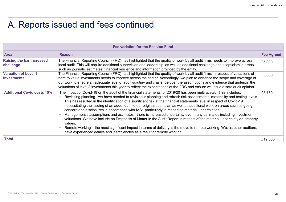## A. Reports issued and fees continued

|                                                   | A. Reports issued and fees continued                                                                                                                                                                                                                                                                                                                                                                                                                                                                                                                                                                                                                                                                                                                                                                                                                                                                                                                                                                                                                                        |                   |
|---------------------------------------------------|-----------------------------------------------------------------------------------------------------------------------------------------------------------------------------------------------------------------------------------------------------------------------------------------------------------------------------------------------------------------------------------------------------------------------------------------------------------------------------------------------------------------------------------------------------------------------------------------------------------------------------------------------------------------------------------------------------------------------------------------------------------------------------------------------------------------------------------------------------------------------------------------------------------------------------------------------------------------------------------------------------------------------------------------------------------------------------|-------------------|
|                                                   | <b>Fee variation for the Pension Fund</b>                                                                                                                                                                                                                                                                                                                                                                                                                                                                                                                                                                                                                                                                                                                                                                                                                                                                                                                                                                                                                                   |                   |
| <b>Area</b>                                       | <b>Reason</b>                                                                                                                                                                                                                                                                                                                                                                                                                                                                                                                                                                                                                                                                                                                                                                                                                                                                                                                                                                                                                                                               | <b>Fee Agreed</b> |
| <b>Raising the bar increased</b><br>challenge     | The Financial Reporting Council (FRC) has highlighted that the quality of work by all audit firms needs to improve across<br>local audit. This will require additional supervision and leadership, as well as additional challenge and scepticism in areas<br>such as journals, estimates, financial resilience and information provided by the entity.                                                                                                                                                                                                                                                                                                                                                                                                                                                                                                                                                                                                                                                                                                                     | £5,000            |
| <b>Valuation of Level 3</b><br><b>Investments</b> | The Financial Reporting Council (FRC) has highlighted that the quality of work by all audit firms in respect of valuations of<br>hard to value investments needs to improve across the sector. Accordingly, we plan to enhance the scope and coverage of<br>our work to ensure an adequate level of audit scrutiny and challenge over the assumptions and evidence that underpin the<br>valuations of level 3 investments this year to reflect the expectations of the FRC and ensure we issue a safe audit opinion.                                                                                                                                                                                                                                                                                                                                                                                                                                                                                                                                                        | £3,830            |
|                                                   |                                                                                                                                                                                                                                                                                                                                                                                                                                                                                                                                                                                                                                                                                                                                                                                                                                                                                                                                                                                                                                                                             | £3,750            |
| <b>Additional Covid costs 15%</b>                 | The impact of Covid-19 on the audit of the financial statements for 2019/20 has been multifaceted. This includes:<br>Revisiting planning - we have needed to revisit our planning and refresh risk assessments, materiality and testing levels.<br>This has resulted in the identification of a significant risk at the financial statements level in respect of Covid-19<br>necessitating the issuing of an addendum to our original audit plan as well as additional work on areas such as going<br>concern and disclosures in accordance with IAS1 particularly in respect to material uncertainties.<br>Management's assumptions and estimates - there is increased uncertainty over many estimates including investment<br>valuations. We have include an Emphasis of Matter in the Audit Report in respect of the material uncertainty on property<br>values.<br>Remote working – the most significant impact in terms of delivery is the move to remote working. We, as other auditors,<br>have experienced delays and inefficiencies as a result of remote working. |                   |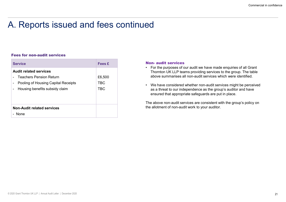### A. Reports issued and fees continued

#### Fees for non-audit services

| A. Reports issued and fees continued                                  |                      |                                                                                                                                                           |
|-----------------------------------------------------------------------|----------------------|-----------------------------------------------------------------------------------------------------------------------------------------------------------|
| <b>Fees for non-audit services</b>                                    |                      |                                                                                                                                                           |
| <b>Service</b>                                                        | <b>Fees £</b>        | <b>Non- audit services</b>                                                                                                                                |
| <b>Audit related services</b><br><b>Teachers Pension Return</b>       | £6,500<br><b>TBC</b> | • For the purposes of our audit we have<br>Thornton UK LLP teams providing so<br>above summarises all non-audit serv<br>We have considered whether non-at |
| Pooling of Housing Capital Receipts<br>Housing benefits subsidy claim | <b>TBC</b>           | as a threat to our independence as t<br>ensured that appropriate safeguards<br>The above non-audit services are consi                                     |

- Commercial in<br>
Commercial in<br>
Commercial in<br>
Thornton UK LLP teams providing services to the group. The table<br>
above summarises all non-audit services which were identified.<br>
Non-audit services which were identified.<br>
Non-For the purposes of our audit we have made enquiries of all Grant<br>• For the purposes of our audit we have made enquiries of all Grant<br>• Thomton UK LLP teams providing services to the group. The table<br>• We have considered w Thornton UK LLP teams providing services to the group. The table above summarises all non-audit services which were identified. £6,500
- Commercial in confidence<br>• For the purposes of our audit we have made enquiries of all Grant<br>• Thom UK LLP teams providing services to the group. The table<br>• We have considered whether non-audit services which were ident as a threat to our independence as the group's auditor and have TBC ensured that appropriate safeguards are put in place. • We have considered whether non-audit services might be perceived

The above non-audit services are consistent with the group's policy on the allotment of non-audit work to your auditor.